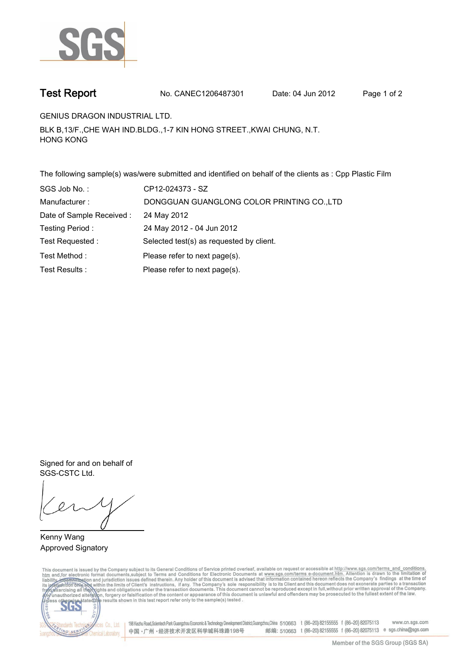

**Test Report. No. CANEC1206487301 Date: 04 Jun 2012. Page 1 of 2.**

**GENIUS DRAGON INDUSTRIAL LTD..**

**BLK B,13/F.,CHE WAH IND.BLDG.,1-7 KIN HONG STREET.,KWAI CHUNG, N.T. HONG KONG.**

**The following sample(s) was/were submitted and identified on behalf of the clients as : Cpp Plastic Film.**

| SGS Job No.:              | CP12-024373 - SZ                           |
|---------------------------|--------------------------------------------|
| Manufacturer:             | DONGGUAN GUANGLONG COLOR PRINTING CO., LTD |
| Date of Sample Received : | 24 May 2012                                |
| Testing Period:           | 24 May 2012 - 04 Jun 2012                  |
| Test Requested :          | Selected test(s) as requested by client.   |
| Test Method:              | Please refer to next page(s).              |
| Test Results :            | Please refer to next page(s).              |

**Signed for and on behalf of SGS-CSTC Ltd..**

**Kenny Wang. Approved Signatory.**

This document is issued by the Company subject to its General Conditions of Service printed overleaf, available on request or accessible at http://www.sgs.com/terms\_and\_conditions.<br>htm\_and, for electronic format documents,



198 Kezhu Road,Scientech Park Guangzhou Economic & Technology Development District,Guangzhou,China 510663 t (86-20) 82155555 f (86-20) 82075113 www.cn.sgs.com 邮编: 510663 t (86-20) 82155555 f (86-20) 82075113 e sgs.china@sgs.com 中国·广州·经济技术开发区科学城科珠路198号